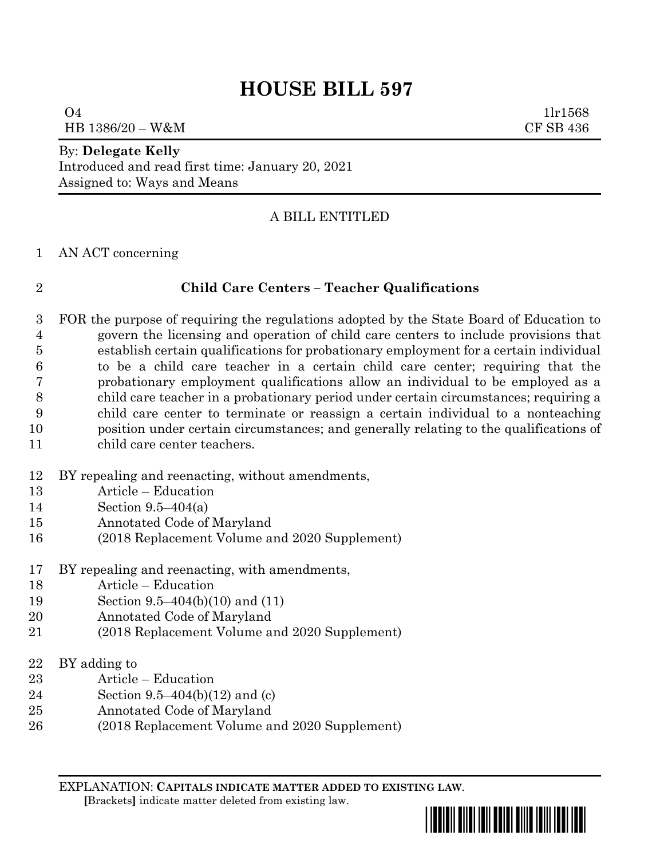# **HOUSE BILL 597**

 1lr1568 HB 1386/20 – W&M CF SB 436

## By: **Delegate Kelly**

Introduced and read first time: January 20, 2021 Assigned to: Ways and Means

## A BILL ENTITLED

### AN ACT concerning

### **Child Care Centers – Teacher Qualifications**

- FOR the purpose of requiring the regulations adopted by the State Board of Education to govern the licensing and operation of child care centers to include provisions that establish certain qualifications for probationary employment for a certain individual to be a child care teacher in a certain child care center; requiring that the probationary employment qualifications allow an individual to be employed as a child care teacher in a probationary period under certain circumstances; requiring a child care center to terminate or reassign a certain individual to a nonteaching position under certain circumstances; and generally relating to the qualifications of child care center teachers.
- BY repealing and reenacting, without amendments,
- Article Education
- Section 9.5–404(a)
- Annotated Code of Maryland
- (2018 Replacement Volume and 2020 Supplement)
- BY repealing and reenacting, with amendments,
- Article Education
- Section 9.5–404(b)(10) and (11)
- Annotated Code of Maryland
- (2018 Replacement Volume and 2020 Supplement)
- BY adding to
- Article Education
- Section 9.5–404(b)(12) and (c)
- Annotated Code of Maryland
- (2018 Replacement Volume and 2020 Supplement)

EXPLANATION: **CAPITALS INDICATE MATTER ADDED TO EXISTING LAW**.





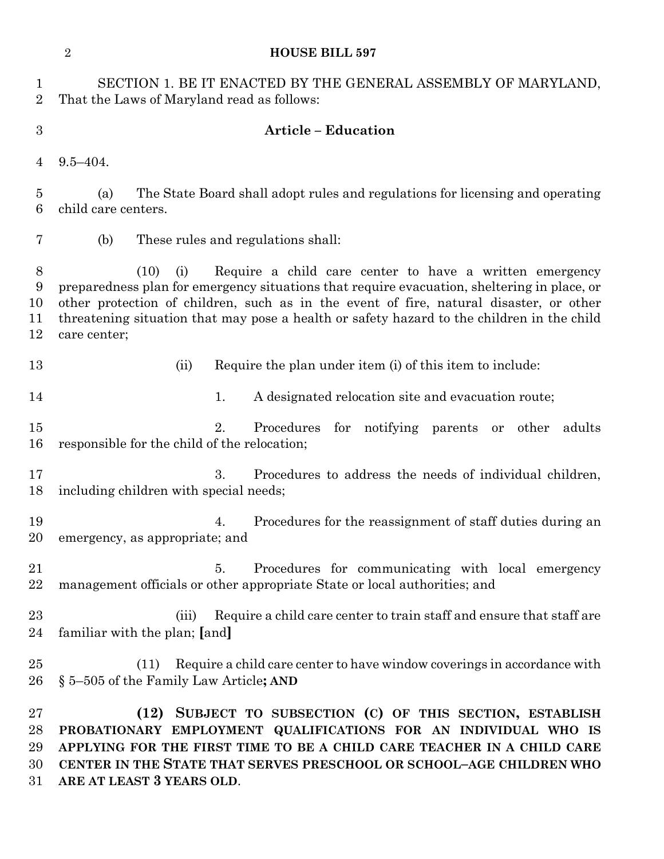| <b>HOUSE BILL 597</b> |  |  |
|-----------------------|--|--|
|-----------------------|--|--|

|                | 2           | <b>HOUSE BILL 597</b>                                                                                         |
|----------------|-------------|---------------------------------------------------------------------------------------------------------------|
|                |             | SECTION 1. BE IT ENACTED BY THE GENERAL ASSEMBLY OF MARYLAND,<br>2 That the Laws of Maryland read as follows: |
| 3              |             | <b>Article – Education</b>                                                                                    |
| $\overline{4}$ | $9.5 - 404$ |                                                                                                               |

 (a) The State Board shall adopt rules and regulations for licensing and operating child care centers.

(b) These rules and regulations shall:

 (10) (i) Require a child care center to have a written emergency preparedness plan for emergency situations that require evacuation, sheltering in place, or other protection of children, such as in the event of fire, natural disaster, or other threatening situation that may pose a health or safety hazard to the children in the child care center;

- (ii) Require the plan under item (i) of this item to include:
- 14 14 1. A designated relocation site and evacuation route;
- 2. Procedures for notifying parents or other adults responsible for the child of the relocation;
- 3. Procedures to address the needs of individual children, including children with special needs;
- 4. Procedures for the reassignment of staff duties during an emergency, as appropriate; and
- 5. Procedures for communicating with local emergency management officials or other appropriate State or local authorities; and
- 23 (iii) Require a child care center to train staff and ensure that staff are familiar with the plan; **[**and**]**
- (11) Require a child care center to have window coverings in accordance with § 5–505 of the Family Law Article**; AND**

 **(12) SUBJECT TO SUBSECTION (C) OF THIS SECTION, ESTABLISH PROBATIONARY EMPLOYMENT QUALIFICATIONS FOR AN INDIVIDUAL WHO IS APPLYING FOR THE FIRST TIME TO BE A CHILD CARE TEACHER IN A CHILD CARE CENTER IN THE STATE THAT SERVES PRESCHOOL OR SCHOOL–AGE CHILDREN WHO ARE AT LEAST 3 YEARS OLD**.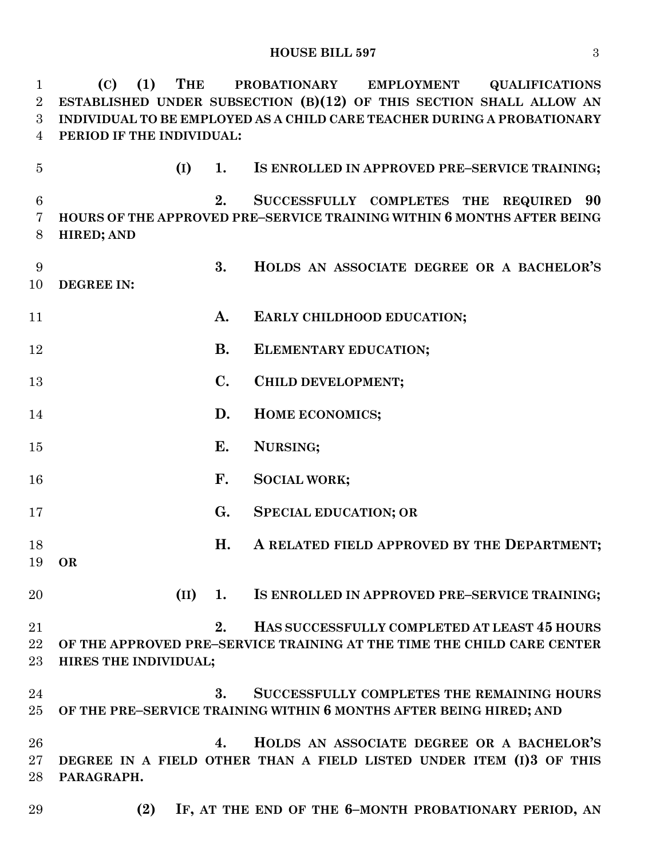| $\mathbf 1$    | (C)<br>(1)<br>THE         |                | PROBATIONARY EMPLOYMENT<br><b>QUALIFICATIONS</b>                        |  |
|----------------|---------------------------|----------------|-------------------------------------------------------------------------|--|
| $\overline{2}$ |                           |                | ESTABLISHED UNDER SUBSECTION (B)(12) OF THIS SECTION SHALL ALLOW AN     |  |
| 3              |                           |                | INDIVIDUAL TO BE EMPLOYED AS A CHILD CARE TEACHER DURING A PROBATIONARY |  |
| $\overline{4}$ | PERIOD IF THE INDIVIDUAL: |                |                                                                         |  |
| $\overline{5}$ | (I)                       | 1.             | IS ENROLLED IN APPROVED PRE-SERVICE TRAINING;                           |  |
| 6              |                           | 2.             | SUCCESSFULLY COMPLETES THE REQUIRED 90                                  |  |
| 7<br>8         | <b>HIRED; AND</b>         |                | HOURS OF THE APPROVED PRE–SERVICE TRAINING WITHIN 6 MONTHS AFTER BEING  |  |
| 9<br>10        | <b>DEGREE IN:</b>         | 3.             | HOLDS AN ASSOCIATE DEGREE OR A BACHELOR'S                               |  |
|                |                           |                |                                                                         |  |
| 11             |                           | A.             | EARLY CHILDHOOD EDUCATION;                                              |  |
| 12             |                           | <b>B.</b>      | ELEMENTARY EDUCATION;                                                   |  |
| 13             |                           | $\mathbf{C}$ . | CHILD DEVELOPMENT;                                                      |  |
| 14             |                           | D.             | HOME ECONOMICS;                                                         |  |
| 15             |                           | E.             | NURSING;                                                                |  |
| 16             |                           | F.             | <b>SOCIAL WORK;</b>                                                     |  |
| 17             |                           | G.             | <b>SPECIAL EDUCATION; OR</b>                                            |  |
| 18             |                           | H.             | A RELATED FIELD APPROVED BY THE DEPARTMENT;                             |  |
|                | 19 OR                     |                |                                                                         |  |
| 20             |                           | $(II)$ 1.      | IS ENROLLED IN APPROVED PRE-SERVICE TRAINING;                           |  |
| 21             |                           | 2.             | HAS SUCCESSFULLY COMPLETED AT LEAST 45 HOURS                            |  |
| 22             |                           |                | OF THE APPROVED PRE–SERVICE TRAINING AT THE TIME THE CHILD CARE CENTER  |  |
| 23             | HIRES THE INDIVIDUAL;     |                |                                                                         |  |
| 24             |                           | 3.             | SUCCESSFULLY COMPLETES THE REMAINING HOURS                              |  |
| 25             |                           |                | OF THE PRE-SERVICE TRAINING WITHIN 6 MONTHS AFTER BEING HIRED; AND      |  |
| 26             |                           | 4.             | HOLDS AN ASSOCIATE DEGREE OR A BACHELOR'S                               |  |
| 27             |                           |                | DEGREE IN A FIELD OTHER THAN A FIELD LISTED UNDER ITEM (I)3 OF THIS     |  |
| 28             | PARAGRAPH.                |                |                                                                         |  |
| 29             | (2)                       |                | IF, AT THE END OF THE 6-MONTH PROBATIONARY PERIOD, AN                   |  |